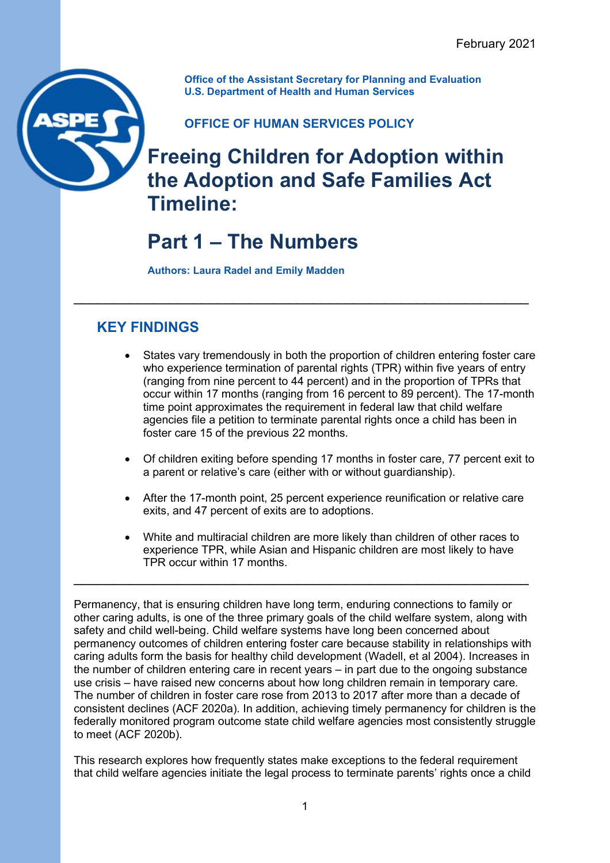**Office of the Assistant Secretary for Planning and Evaluation U.S. Department of Health and Human Services**

## **OFFICE OF HUMAN SERVICES POLICY**

\_\_\_\_\_\_\_\_\_\_\_\_\_\_\_\_\_\_\_\_\_\_\_\_\_\_\_\_\_\_\_\_\_\_\_\_\_\_\_\_\_\_\_\_\_\_\_\_\_\_\_\_\_\_\_\_\_

## **Freeing Children for Adoption within the Adoption and Safe Families Act Timeline:**

# **Part 1 – The Numbers**

**Authors: Laura Radel and Emily Madden**

## **KEY FINDINGS**

- States vary tremendously in both the proportion of children entering foster care who experience termination of parental rights (TPR) within five years of entry (ranging from nine percent to 44 percent) and in the proportion of TPRs that occur within 17 months (ranging from 16 percent to 89 percent). The 17-month time point approximates the requirement in federal law that child welfare agencies file a petition to terminate parental rights once a child has been in foster care 15 of the previous 22 months.
- Of children exiting before spending 17 months in foster care, 77 percent exit to a parent or relative's care (either with or without guardianship).
- After the 17-month point, 25 percent experience reunification or relative care exits, and 47 percent of exits are to adoptions.
- White and multiracial children are more likely than children of other races to experience TPR, while Asian and Hispanic children are most likely to have TPR occur within 17 months.

Permanency, that is ensuring children have long term, enduring connections to family or other caring adults, is one of the three primary goals of the child welfare system, along with safety and child well-being. Child welfare systems have long been concerned about permanency outcomes of children entering foster care because stability in relationships with caring adults form the basis for healthy child development (Wadell, et al 2004). Increases in the number of children entering care in recent years – in part due to the ongoing substance use crisis – have raised new concerns about how long children remain in temporary care. The number of children in foster care rose from 2013 to 2017 after more than a decade of consistent declines (ACF 2020a). In addition, achieving timely permanency for children is the federally monitored program outcome state child welfare agencies most consistently struggle to meet (ACF 2020b).

\_\_\_\_\_\_\_\_\_\_\_\_\_\_\_\_\_\_\_\_\_\_\_\_\_\_\_\_\_\_\_\_\_\_\_\_\_\_\_\_\_\_\_\_\_\_\_\_\_\_\_\_\_\_\_\_\_

This research explores how frequently states make exceptions to the federal requirement that child welfare agencies initiate the legal process to terminate parents' rights once a child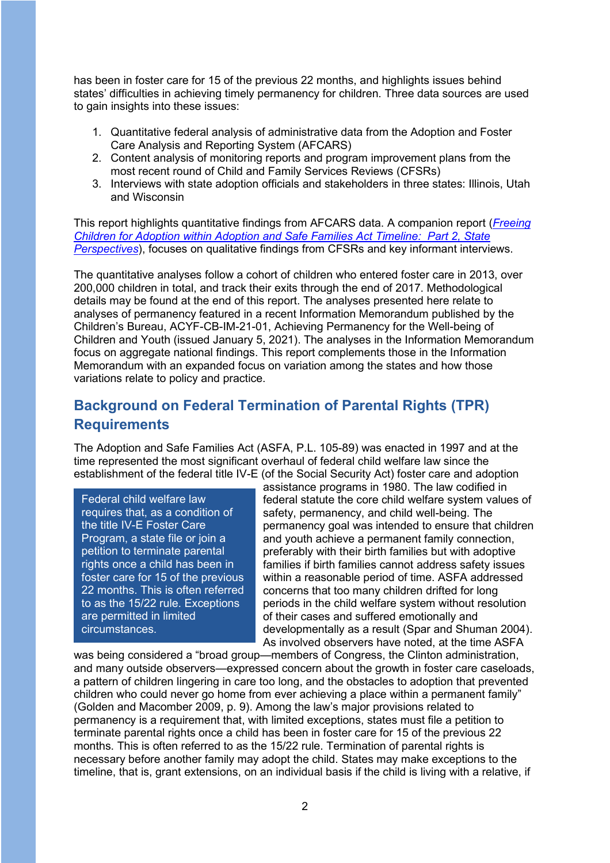has been in foster care for 15 of the previous 22 months, and highlights issues behind states' difficulties in achieving timely permanency for children. Three data sources are used to gain insights into these issues:

- 1. Quantitative federal analysis of administrative data from the Adoption and Foster Care Analysis and Reporting System (AFCARS)
- 2. Content analysis of monitoring reports and program improvement plans from the most recent round of Child and Family Services Reviews (CFSRs)
- 3. Interviews with state adoption officials and stakeholders in three states: Illinois, Utah and Wisconsin

This report highlights quantitative findings from AFCARS data. A companion report (*[Freeing](https://aspe.hhs.gov/system/files/pdf/265036/freeing-children-for-adoption-asfa-pt-2.pdf)  [Children for Adoption within Adoption and Safe Families Act Timeline: Part 2, State](https://aspe.hhs.gov/system/files/pdf/265036/freeing-children-for-adoption-asfa-pt-2.pdf)  [Perspectives](https://aspe.hhs.gov/system/files/pdf/265036/freeing-children-for-adoption-asfa-pt-2.pdf)*), focuses on qualitative findings from CFSRs and key informant interviews.

The quantitative analyses follow a cohort of children who entered foster care in 2013, over 200,000 children in total, and track their exits through the end of 2017. Methodological details may be found at the end of this report. The analyses presented here relate to analyses of permanency featured in a recent Information Memorandum published by the Children's Bureau, ACYF-CB-IM-21-01, Achieving Permanency for the Well-being of Children and Youth (issued January 5, 2021). The analyses in the Information Memorandum focus on aggregate national findings. This report complements those in the Information Memorandum with an expanded focus on variation among the states and how those variations relate to policy and practice.

## **Background on Federal Termination of Parental Rights (TPR) Requirements**

The Adoption and Safe Families Act (ASFA, P.L. 105-89) was enacted in 1997 and at the time represented the most significant overhaul of federal child welfare law since the establishment of the federal title IV-E (of the Social Security Act) foster care and adoption

Federal child welfare law requires that, as a condition of the title IV-E Foster Care Program, a state file or join a petition to terminate parental rights once a child has been in foster care for 15 of the previous 22 months. This is often referred to as the 15/22 rule. Exceptions are permitted in limited circumstances.

assistance programs in 1980. The law codified in federal statute the core child welfare system values of safety, permanency, and child well-being. The permanency goal was intended to ensure that children and youth achieve a permanent family connection, preferably with their birth families but with adoptive families if birth families cannot address safety issues within a reasonable period of time. ASFA addressed concerns that too many children drifted for long periods in the child welfare system without resolution of their cases and suffered emotionally and developmentally as a result (Spar and Shuman 2004). As involved observers have noted, at the time ASFA

was being considered a "broad group—members of Congress, the Clinton administration, and many outside observers—expressed concern about the growth in foster care caseloads, a pattern of children lingering in care too long, and the obstacles to adoption that prevented children who could never go home from ever achieving a place within a permanent family" (Golden and Macomber 2009, p. 9). Among the law's major provisions related to permanency is a requirement that, with limited exceptions, states must file a petition to terminate parental rights once a child has been in foster care for 15 of the previous 22 months. This is often referred to as the 15/22 rule. Termination of parental rights is necessary before another family may adopt the child. States may make exceptions to the timeline, that is, grant extensions, on an individual basis if the child is living with a relative, if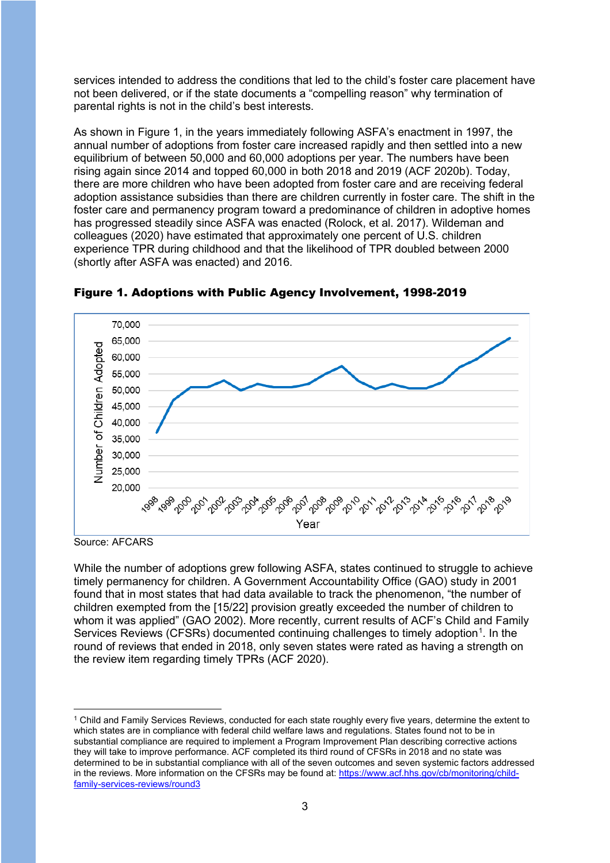services intended to address the conditions that led to the child's foster care placement have not been delivered, or if the state documents a "compelling reason" why termination of parental rights is not in the child's best interests.

As shown in Figure 1, in the years immediately following ASFA's enactment in 1997, the annual number of adoptions from foster care increased rapidly and then settled into a new equilibrium of between 50,000 and 60,000 adoptions per year. The numbers have been rising again since 2014 and topped 60,000 in both 2018 and 2019 (ACF 2020b). Today, there are more children who have been adopted from foster care and are receiving federal adoption assistance subsidies than there are children currently in foster care. The shift in the foster care and permanency program toward a predominance of children in adoptive homes has progressed steadily since ASFA was enacted (Rolock, et al. 2017). Wildeman and colleagues (2020) have estimated that approximately one percent of U.S. children experience TPR during childhood and that the likelihood of TPR doubled between 2000 (shortly after ASFA was enacted) and 2016.



Figure 1. Adoptions with Public Agency Involvement, 1998-2019

While the number of adoptions grew following ASFA, states continued to struggle to achieve timely permanency for children. A Government Accountability Office (GAO) study in 2001 found that in most states that had data available to track the phenomenon, "the number of children exempted from the [15/22] provision greatly exceeded the number of children to whom it was applied" (GAO 2002). More recently, current results of ACF's Child and Family Services Reviews (CFSRs) documented continuing challenges to timely adoption $^{\text{1}}$  $^{\text{1}}$  $^{\text{1}}$ . In the round of reviews that ended in 2018, only seven states were rated as having a strength on the review item regarding timely TPRs (ACF 2020).

Source: AFCARS

<span id="page-2-0"></span><sup>1</sup> Child and Family Services Reviews, conducted for each state roughly every five years, determine the extent to which states are in compliance with federal child welfare laws and regulations. States found not to be in substantial compliance are required to implement a Program Improvement Plan describing corrective actions they will take to improve performance. ACF completed its third round of CFSRs in 2018 and no state was determined to be in substantial compliance with all of the seven outcomes and seven systemic factors addressed in the reviews. More information on the CFSRs may be found at[: https://www.acf.hhs.gov/cb/monitoring/child](https://www.acf.hhs.gov/cb/monitoring/child-family-services-reviews/round3)[family-services-reviews/round3](https://www.acf.hhs.gov/cb/monitoring/child-family-services-reviews/round3)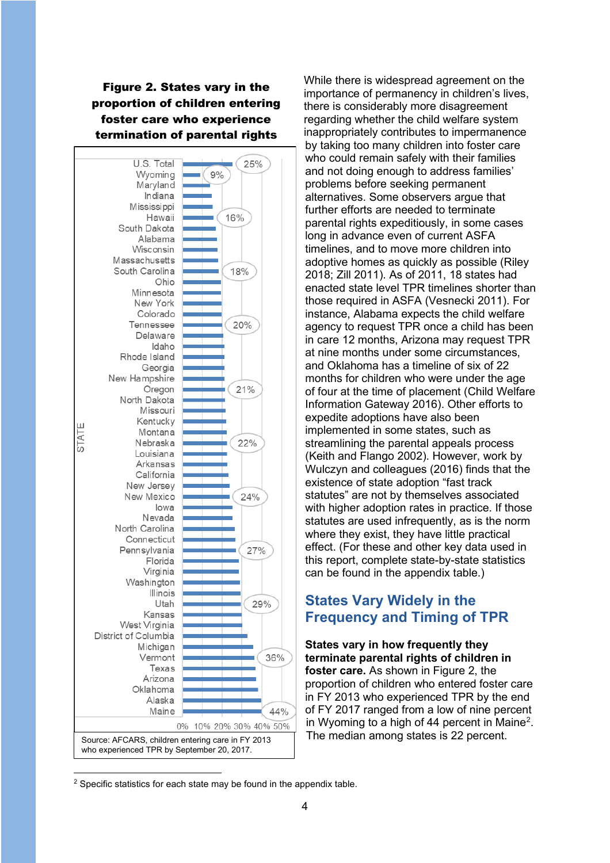Figure 2. States vary in the proportion of children entering foster care who experience termination of parental rights



While there is widespread agreement on the importance of permanency in children's lives, there is considerably more disagreement regarding whether the child welfare system inappropriately contributes to impermanence by taking too many children into foster care who could remain safely with their families and not doing enough to address families' problems before seeking permanent alternatives. Some observers argue that further efforts are needed to terminate parental rights expeditiously, in some cases long in advance even of current ASFA timelines, and to move more children into adoptive homes as quickly as possible (Riley 2018; Zill 2011). As of 2011, 18 states had enacted state level TPR timelines shorter than those required in ASFA (Vesnecki 2011). For instance, Alabama expects the child welfare agency to request TPR once a child has been in care 12 months, Arizona may request TPR at nine months under some circumstances, and Oklahoma has a timeline of six of 22 months for children who were under the age of four at the time of placement (Child Welfare Information Gateway 2016). Other efforts to expedite adoptions have also been implemented in some states, such as streamlining the parental appeals process (Keith and Flango 2002). However, work by Wulczyn and colleagues (2016) finds that the existence of state adoption "fast track statutes" are not by themselves associated with higher adoption rates in practice. If those statutes are used infrequently, as is the norm where they exist, they have little practical effect. (For these and other key data used in this report, complete state-by-state statistics can be found in the appendix table.)

## **States Vary Widely in the Frequency and Timing of TPR**

**States vary in how frequently they terminate parental rights of children in foster care.** As shown in Figure 2, the proportion of children who entered foster care in FY 2013 who experienced TPR by the end of FY 2017 ranged from a low of nine percent in Wyoming to a high of 44 percent in Maine<sup>[2](#page-3-0)</sup>. The median among states is 22 percent.

<span id="page-3-0"></span><sup>&</sup>lt;sup>2</sup> Specific statistics for each state may be found in the appendix table.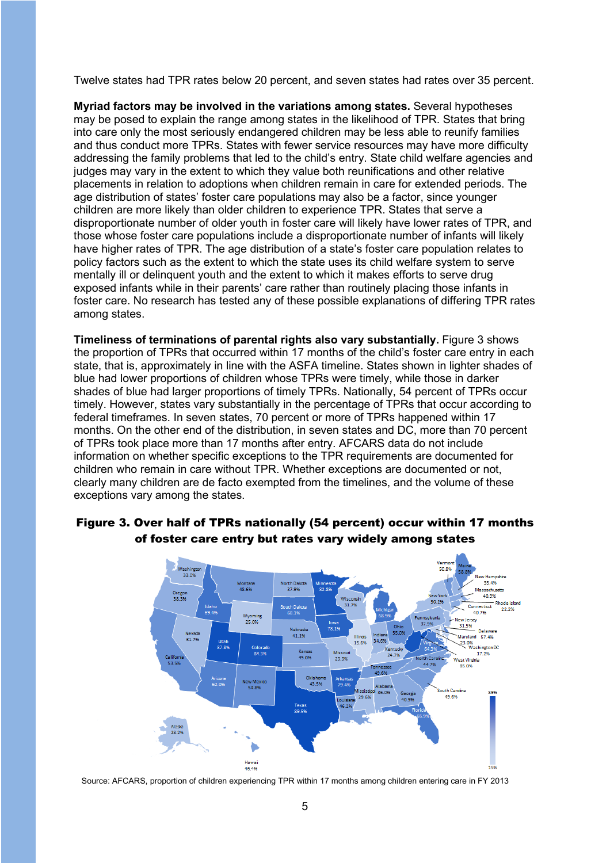Twelve states had TPR rates below 20 percent, and seven states had rates over 35 percent.

**Myriad factors may be involved in the variations among states.** Several hypotheses may be posed to explain the range among states in the likelihood of TPR. States that bring into care only the most seriously endangered children may be less able to reunify families and thus conduct more TPRs. States with fewer service resources may have more difficulty addressing the family problems that led to the child's entry. State child welfare agencies and judges may vary in the extent to which they value both reunifications and other relative placements in relation to adoptions when children remain in care for extended periods. The age distribution of states' foster care populations may also be a factor, since younger children are more likely than older children to experience TPR. States that serve a disproportionate number of older youth in foster care will likely have lower rates of TPR, and those whose foster care populations include a disproportionate number of infants will likely have higher rates of TPR. The age distribution of a state's foster care population relates to policy factors such as the extent to which the state uses its child welfare system to serve mentally ill or delinquent youth and the extent to which it makes efforts to serve drug exposed infants while in their parents' care rather than routinely placing those infants in foster care. No research has tested any of these possible explanations of differing TPR rates among states.

**Timeliness of terminations of parental rights also vary substantially.** Figure 3 shows the proportion of TPRs that occurred within 17 months of the child's foster care entry in each state, that is, approximately in line with the ASFA timeline. States shown in lighter shades of blue had lower proportions of children whose TPRs were timely, while those in darker shades of blue had larger proportions of timely TPRs. Nationally, 54 percent of TPRs occur timely. However, states vary substantially in the percentage of TPRs that occur according to federal timeframes. In seven states, 70 percent or more of TPRs happened within 17 months. On the other end of the distribution, in seven states and DC, more than 70 percent of TPRs took place more than 17 months after entry. AFCARS data do not include information on whether specific exceptions to the TPR requirements are documented for children who remain in care without TPR. Whether exceptions are documented or not, clearly many children are de facto exempted from the timelines, and the volume of these exceptions vary among the states.



#### Figure 3. Over half of TPRs nationally (54 percent) occur within 17 months of foster care entry but rates vary widely among states

Source: AFCARS, proportion of children experiencing TPR within 17 months among children entering care in FY 2013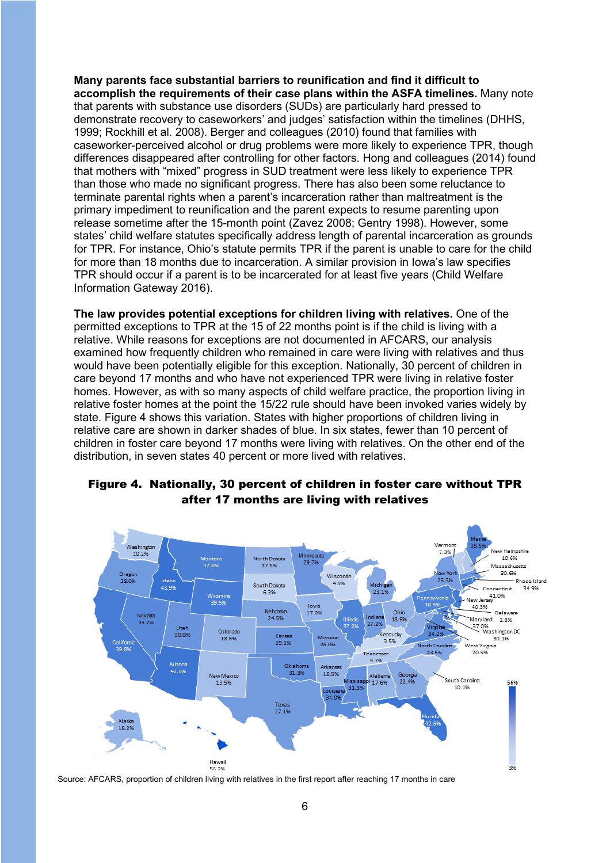**Many parents face substantial barriers to reunification and find it difficult to accomplish the requirements of their case plans within the ASFA timelines.** Many note that parents with substance use disorders (SUDs) are particularly hard pressed to demonstrate recovery to caseworkers' and judges' satisfaction within the timelines (DHHS, 1999; Rockhill et al. 2008). Berger and colleagues (2010) found that families with caseworker-perceived alcohol or drug problems were more likely to experience TPR, though differences disappeared after controlling for other factors. Hong and colleagues (2014) found that mothers with "mixed" progress in SUD treatment were less likely to experience TPR than those who made no significant progress. There has also been some reluctance to terminate parental rights when a parent's incarceration rather than maltreatment is the primary impediment to reunification and the parent expects to resume parenting upon release sometime after the 15-month point (Zavez 2008; Gentry 1998). However, some states' child welfare statutes specifically address length of parental incarceration as grounds for TPR. For instance, Ohio's statute permits TPR if the parent is unable to care for the child for more than 18 months due to incarceration. A similar provision in Iowa's law specifies TPR should occur if a parent is to be incarcerated for at least five years (Child Welfare Information Gateway 2016).

**The law provides potential exceptions for children living with relatives.** One of the permitted exceptions to TPR at the 15 of 22 months point is if the child is living with a relative. While reasons for exceptions are not documented in AFCARS, our analysis examined how frequently children who remained in care were living with relatives and thus would have been potentially eligible for this exception. Nationally, 30 percent of children in care beyond 17 months and who have not experienced TPR were living in relative foster homes. However, as with so many aspects of child welfare practice, the proportion living in relative foster homes at the point the 15/22 rule should have been invoked varies widely by state. Figure 4 shows this variation. States with higher proportions of children living in relative care are shown in darker shades of blue. In six states, fewer than 10 percent of children in foster care beyond 17 months were living with relatives. On the other end of the distribution, in seven states 40 percent or more lived with relatives.



### Figure 4. Nationally, 30 percent of children in foster care without TPR after 17 months are living with relatives

Source: AFCARS, proportion of children living with relatives in the first report after reaching 17 months in care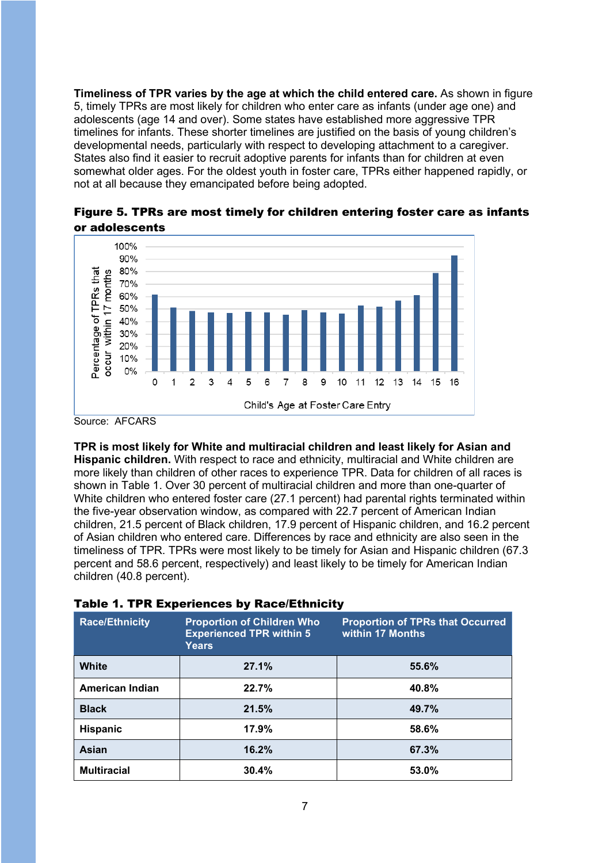**Timeliness of TPR varies by the age at which the child entered care.** As shown in figure 5, timely TPRs are most likely for children who enter care as infants (under age one) and adolescents (age 14 and over). Some states have established more aggressive TPR timelines for infants. These shorter timelines are justified on the basis of young children's developmental needs, particularly with respect to developing attachment to a caregiver. States also find it easier to recruit adoptive parents for infants than for children at even somewhat older ages. For the oldest youth in foster care, TPRs either happened rapidly, or not at all because they emancipated before being adopted.

Figure 5. TPRs are most timely for children entering foster care as infants or adolescents



Source: AFCARS

**TPR is most likely for White and multiracial children and least likely for Asian and** 

**Hispanic children.** With respect to race and ethnicity, multiracial and White children are more likely than children of other races to experience TPR. Data for children of all races is shown in Table 1. Over 30 percent of multiracial children and more than one-quarter of White children who entered foster care (27.1 percent) had parental rights terminated within the five-year observation window, as compared with 22.7 percent of American Indian children, 21.5 percent of Black children, 17.9 percent of Hispanic children, and 16.2 percent of Asian children who entered care. Differences by race and ethnicity are also seen in the timeliness of TPR. TPRs were most likely to be timely for Asian and Hispanic children (67.3 percent and 58.6 percent, respectively) and least likely to be timely for American Indian children (40.8 percent).

| <b>Race/Ethnicity</b>  | <b>Proportion of Children Who</b><br><b>Experienced TPR within 5</b><br>Years | <b>Proportion of TPRs that Occurred</b><br>within 17 Months |
|------------------------|-------------------------------------------------------------------------------|-------------------------------------------------------------|
| <b>White</b>           | 27.1%                                                                         | 55.6%                                                       |
| <b>American Indian</b> | 22.7%                                                                         | 40.8%                                                       |
| <b>Black</b>           | 21.5%                                                                         | 49.7%                                                       |
| <b>Hispanic</b>        | 17.9%                                                                         | 58.6%                                                       |
| Asian                  | 16.2%                                                                         | 67.3%                                                       |
| <b>Multiracial</b>     | 30.4%                                                                         | 53.0%                                                       |

#### Table 1. TPR Experiences by Race/Ethnicity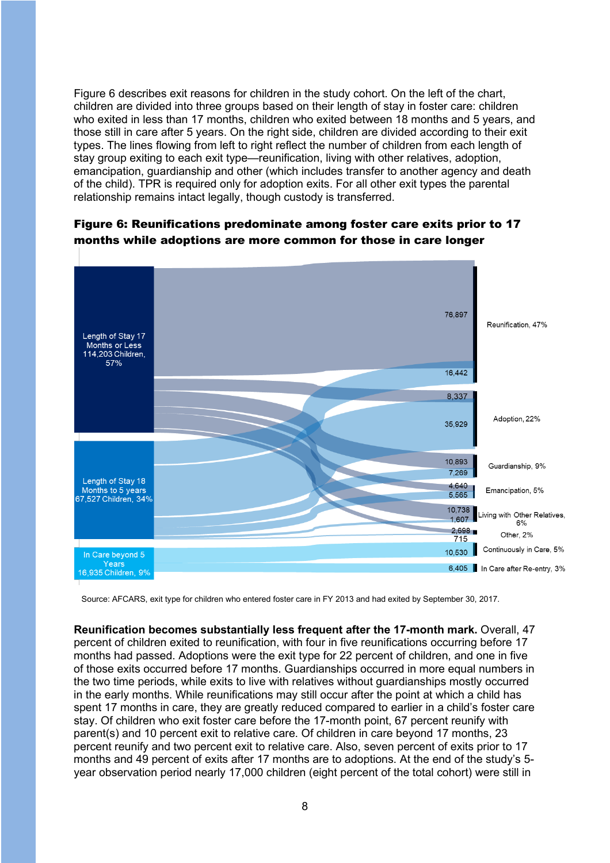Figure 6 describes exit reasons for children in the study cohort. On the left of the chart, children are divided into three groups based on their length of stay in foster care: children who exited in less than 17 months, children who exited between 18 months and 5 years, and those still in care after 5 years. On the right side, children are divided according to their exit types. The lines flowing from left to right reflect the number of children from each length of stay group exiting to each exit type—reunification, living with other relatives, adoption, emancipation, guardianship and other (which includes transfer to another agency and death of the child). TPR is required only for adoption exits. For all other exit types the parental relationship remains intact legally, though custody is transferred.



#### Figure 6: Reunifications predominate among foster care exits prior to 17 months while adoptions are more common for those in care longer

Source: AFCARS, exit type for children who entered foster care in FY 2013 and had exited by September 30, 2017.

**Reunification becomes substantially less frequent after the 17-month mark.** Overall, 47 percent of children exited to reunification, with four in five reunifications occurring before 17 months had passed. Adoptions were the exit type for 22 percent of children, and one in five of those exits occurred before 17 months. Guardianships occurred in more equal numbers in the two time periods, while exits to live with relatives without guardianships mostly occurred in the early months. While reunifications may still occur after the point at which a child has spent 17 months in care, they are greatly reduced compared to earlier in a child's foster care stay. Of children who exit foster care before the 17-month point, 67 percent reunify with parent(s) and 10 percent exit to relative care. Of children in care beyond 17 months, 23 percent reunify and two percent exit to relative care. Also, seven percent of exits prior to 17 months and 49 percent of exits after 17 months are to adoptions. At the end of the study's 5 year observation period nearly 17,000 children (eight percent of the total cohort) were still in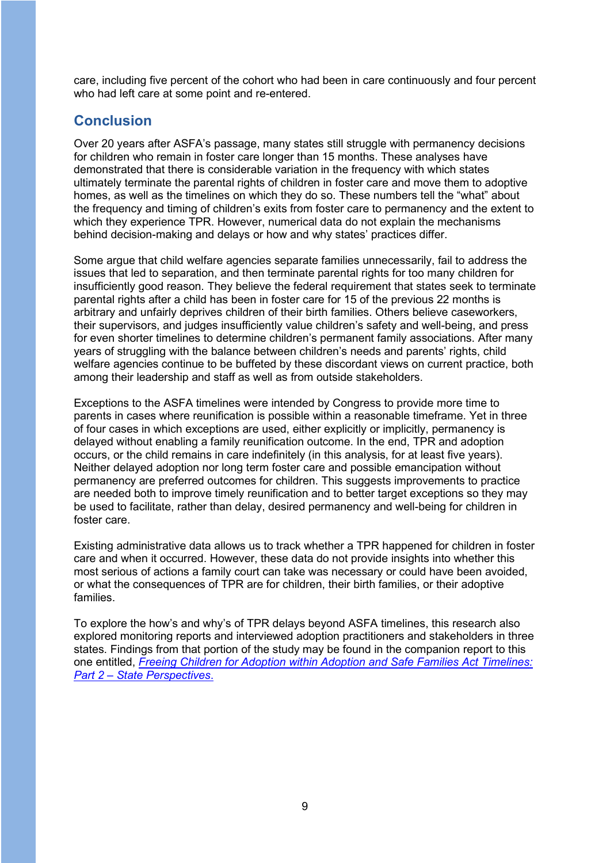care, including five percent of the cohort who had been in care continuously and four percent who had left care at some point and re-entered.

## **Conclusion**

Over 20 years after ASFA's passage, many states still struggle with permanency decisions for children who remain in foster care longer than 15 months. These analyses have demonstrated that there is considerable variation in the frequency with which states ultimately terminate the parental rights of children in foster care and move them to adoptive homes, as well as the timelines on which they do so. These numbers tell the "what" about the frequency and timing of children's exits from foster care to permanency and the extent to which they experience TPR. However, numerical data do not explain the mechanisms behind decision-making and delays or how and why states' practices differ.

Some argue that child welfare agencies separate families unnecessarily, fail to address the issues that led to separation, and then terminate parental rights for too many children for insufficiently good reason. They believe the federal requirement that states seek to terminate parental rights after a child has been in foster care for 15 of the previous 22 months is arbitrary and unfairly deprives children of their birth families. Others believe caseworkers, their supervisors, and judges insufficiently value children's safety and well-being, and press for even shorter timelines to determine children's permanent family associations. After many years of struggling with the balance between children's needs and parents' rights, child welfare agencies continue to be buffeted by these discordant views on current practice, both among their leadership and staff as well as from outside stakeholders.

Exceptions to the ASFA timelines were intended by Congress to provide more time to parents in cases where reunification is possible within a reasonable timeframe. Yet in three of four cases in which exceptions are used, either explicitly or implicitly, permanency is delayed without enabling a family reunification outcome. In the end, TPR and adoption occurs, or the child remains in care indefinitely (in this analysis, for at least five years). Neither delayed adoption nor long term foster care and possible emancipation without permanency are preferred outcomes for children. This suggests improvements to practice are needed both to improve timely reunification and to better target exceptions so they may be used to facilitate, rather than delay, desired permanency and well-being for children in foster care.

Existing administrative data allows us to track whether a TPR happened for children in foster care and when it occurred. However, these data do not provide insights into whether this most serious of actions a family court can take was necessary or could have been avoided, or what the consequences of TPR are for children, their birth families, or their adoptive families.

To explore the how's and why's of TPR delays beyond ASFA timelines, this research also explored monitoring reports and interviewed adoption practitioners and stakeholders in three states. Findings from that portion of the study may be found in the companion report to this one entitled, *[Freeing Children for Adoption within Adoption and Safe Families Act Timelines:](https://aspe.hhs.gov/system/files/pdf/265036/freeing-children-for-adoption-asfa-pt-2.pdf)  [Part 2 – State Perspectives](https://aspe.hhs.gov/system/files/pdf/265036/freeing-children-for-adoption-asfa-pt-2.pdf)*.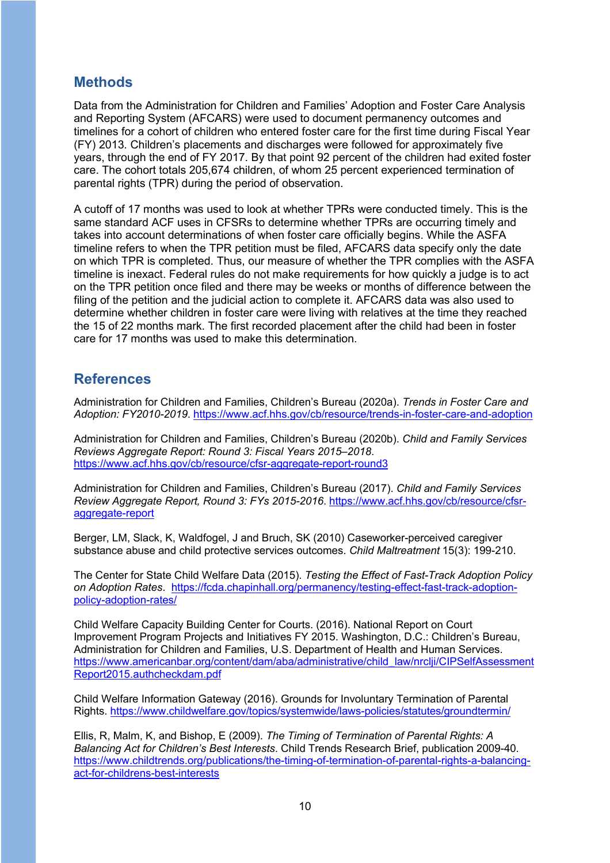## **Methods**

Data from the Administration for Children and Families' Adoption and Foster Care Analysis and Reporting System (AFCARS) were used to document permanency outcomes and timelines for a cohort of children who entered foster care for the first time during Fiscal Year (FY) 2013. Children's placements and discharges were followed for approximately five years, through the end of FY 2017. By that point 92 percent of the children had exited foster care. The cohort totals 205,674 children, of whom 25 percent experienced termination of parental rights (TPR) during the period of observation.

A cutoff of 17 months was used to look at whether TPRs were conducted timely. This is the same standard ACF uses in CFSRs to determine whether TPRs are occurring timely and takes into account determinations of when foster care officially begins. While the ASFA timeline refers to when the TPR petition must be filed, AFCARS data specify only the date on which TPR is completed. Thus, our measure of whether the TPR complies with the ASFA timeline is inexact. Federal rules do not make requirements for how quickly a judge is to act on the TPR petition once filed and there may be weeks or months of difference between the filing of the petition and the judicial action to complete it. AFCARS data was also used to determine whether children in foster care were living with relatives at the time they reached the 15 of 22 months mark. The first recorded placement after the child had been in foster care for 17 months was used to make this determination.

## **References**

Administration for Children and Families, Children's Bureau (2020a). *Trends in Foster Care and Adoption: FY2010-2019*.<https://www.acf.hhs.gov/cb/resource/trends-in-foster-care-and-adoption>

Administration for Children and Families, Children's Bureau (2020b). *Child and Family Services Reviews Aggregate Report: Round 3: Fiscal Years 2015–2018*. <https://www.acf.hhs.gov/cb/resource/cfsr-aggregate-report-round3>

Administration for Children and Families, Children's Bureau (2017). *Child and Family Services Review Aggregate Report, Round 3: FYs 2015-2016*. [https://www.acf.hhs.gov/cb/resource/cfsr](https://www.acf.hhs.gov/cb/resource/cfsr-aggregate-report)[aggregate-report](https://www.acf.hhs.gov/cb/resource/cfsr-aggregate-report) 

Berger, LM, Slack, K, Waldfogel, J and Bruch, SK (2010) Caseworker-perceived caregiver substance abuse and child protective services outcomes. *Child Maltreatment* 15(3): 199-210.

The Center for State Child Welfare Data (2015). *Testing the Effect of Fast-Track Adoption Policy on Adoption Rates*. [https://fcda.chapinhall.org/permanency/testing-effect-fast-track-adoption](https://fcda.chapinhall.org/permanency/testing-effect-fast-track-adoption-policy-adoption-rates/)[policy-adoption-rates/](https://fcda.chapinhall.org/permanency/testing-effect-fast-track-adoption-policy-adoption-rates/)

Child Welfare Capacity Building Center for Courts. (2016). National Report on Court Improvement Program Projects and Initiatives FY 2015. Washington, D.C.: Children's Bureau, Administration for Children and Families, U.S. Department of Health and Human Services. [https://www.americanbar.org/content/dam/aba/administrative/child\\_law/nrclji/CIPSelfAssessment](https://www.americanbar.org/content/dam/aba/administrative/child_law/nrclji/CIPSelfAssessmentReport2015.authcheckdam.pdf) [Report2015.authcheckdam.pdf](https://www.americanbar.org/content/dam/aba/administrative/child_law/nrclji/CIPSelfAssessmentReport2015.authcheckdam.pdf) 

Child Welfare Information Gateway (2016). Grounds for Involuntary Termination of Parental Rights.<https://www.childwelfare.gov/topics/systemwide/laws-policies/statutes/groundtermin/>

Ellis, R, Malm, K, and Bishop, E (2009). *The Timing of Termination of Parental Rights: A Balancing Act for Children's Best Interests*. Child Trends Research Brief, publication 2009-40. [https://www.childtrends.org/publications/the-timing-of-termination-of-parental-rights-a-balancing](https://www.childtrends.org/publications/the-timing-of-termination-of-parental-rights-a-balancing-act-for-childrens-best-interests)[act-for-childrens-best-interests](https://www.childtrends.org/publications/the-timing-of-termination-of-parental-rights-a-balancing-act-for-childrens-best-interests)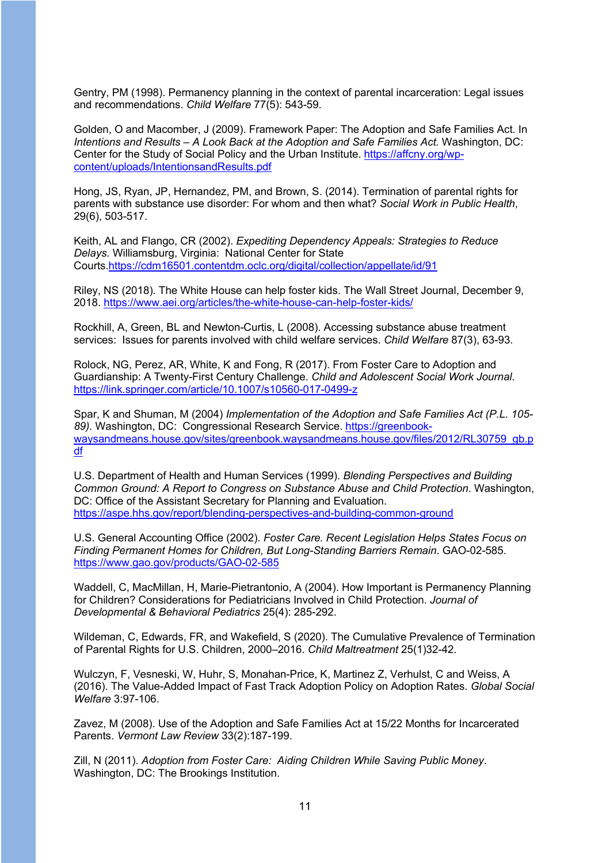Gentry, PM (1998). Permanency planning in the context of parental incarceration: Legal issues and recommendations. *Child Welfare* 77(5): 543-59.

Golden, O and Macomber, J (2009). Framework Paper: The Adoption and Safe Families Act. In *Intentions and Results – A Look Back at the Adoption and Safe Families Act.* Washington, DC: Center for the Study of Social Policy and the Urban Institute. [https://affcny.org/wp](https://affcny.org/wp-content/uploads/IntentionsandResults.pdf)[content/uploads/IntentionsandResults.pdf](https://affcny.org/wp-content/uploads/IntentionsandResults.pdf) 

Hong, JS, Ryan, JP, Hernandez, PM, and Brown, S. (2014). Termination of parental rights for parents with substance use disorder: For whom and then what? *Social Work in Public Health*, 29(6), 503-517.

Keith, AL and Flango, CR (2002). *Expediting Dependency Appeals: Strategies to Reduce Delays.* Williamsburg, Virginia: National Center for State Courts[.https://cdm16501.contentdm.oclc.org/digital/collection/appellate/id/91](https://cdm16501.contentdm.oclc.org/digital/collection/appellate/id/91)

Riley, NS (2018). The White House can help foster kids. The Wall Street Journal, December 9, 2018.<https://www.aei.org/articles/the-white-house-can-help-foster-kids/>

Rockhill, A, Green, BL and Newton-Curtis, L (2008). Accessing substance abuse treatment services: Issues for parents involved with child welfare services. *Child Welfare* 87(3), 63-93.

Rolock, NG, Perez, AR, White, K and Fong, R (2017). From Foster Care to Adoption and Guardianship: A Twenty-First Century Challenge. *Child and Adolescent Social Work Journal*. <https://link.springer.com/article/10.1007/s10560-017-0499-z>

Spar, K and Shuman, M (2004) *Implementation of the Adoption and Safe Families Act (P.L. 105- 89).* Washington, DC: Congressional Research Service. [https://greenbook](https://greenbook-waysandmeans.house.gov/sites/greenbook.waysandmeans.house.gov/files/2012/RL30759_gb.pdf)[waysandmeans.house.gov/sites/greenbook.waysandmeans.house.gov/files/2012/RL30759\\_gb.p](https://greenbook-waysandmeans.house.gov/sites/greenbook.waysandmeans.house.gov/files/2012/RL30759_gb.pdf) [df](https://greenbook-waysandmeans.house.gov/sites/greenbook.waysandmeans.house.gov/files/2012/RL30759_gb.pdf) 

U.S. Department of Health and Human Services (1999). *Blending Perspectives and Building Common Ground: A Report to Congress on Substance Abuse and Child Protection*. Washington, DC: Office of the Assistant Secretary for Planning and Evaluation. <https://aspe.hhs.gov/report/blending-perspectives-and-building-common-ground>

U.S. General Accounting Office (2002). *Foster Care. Recent Legislation Helps States Focus on Finding Permanent Homes for Children, But Long-Standing Barriers Remain*. GAO-02-585. <https://www.gao.gov/products/GAO-02-585>

Waddell, C, MacMillan, H, Marie-Pietrantonio, A (2004). How Important is Permanency Planning for Children? Considerations for Pediatricians Involved in Child Protection. *Journal of Developmental & Behavioral Pediatrics* 25(4): 285-292.

Wildeman, C, Edwards, FR, and Wakefield, S (2020). The Cumulative Prevalence of Termination of Parental Rights for U.S. Children, 2000–2016. *Child Maltreatment* 25(1)32-42.

Wulczyn, F, Vesneski, W, Huhr, S, Monahan-Price, K, Martinez Z, Verhulst, C and Weiss, A (2016). The Value-Added Impact of Fast Track Adoption Policy on Adoption Rates. *Global Social Welfare* 3:97-106.

Zavez, M (2008). Use of the Adoption and Safe Families Act at 15/22 Months for Incarcerated Parents. *Vermont Law Review* 33(2):187-199.

Zill, N (2011). *Adoption from Foster Care: Aiding Children While Saving Public Money*. Washington, DC: The Brookings Institution.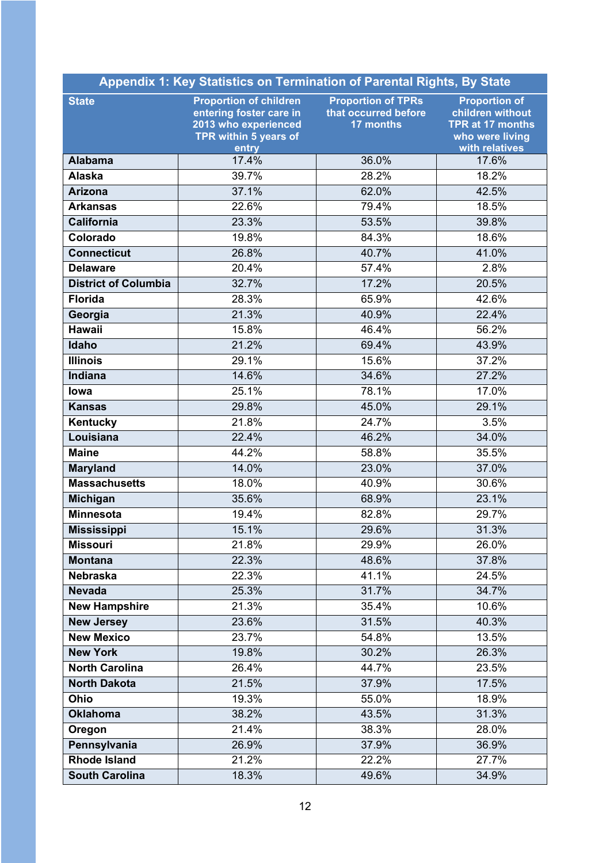| <b>Appendix 1: Key Statistics on Termination of Parental Rights, By State</b> |                                                                                                                    |                                                                |                                                                                                   |  |  |
|-------------------------------------------------------------------------------|--------------------------------------------------------------------------------------------------------------------|----------------------------------------------------------------|---------------------------------------------------------------------------------------------------|--|--|
| <b>State</b>                                                                  | <b>Proportion of children</b><br>entering foster care in<br>2013 who experienced<br>TPR within 5 years of<br>entry | <b>Proportion of TPRs</b><br>that occurred before<br>17 months | <b>Proportion of</b><br>children without<br>TPR at 17 months<br>who were living<br>with relatives |  |  |
| <b>Alabama</b>                                                                | 17.4%                                                                                                              | 36.0%                                                          | 17.6%                                                                                             |  |  |
| <b>Alaska</b>                                                                 | 39.7%                                                                                                              | 28.2%                                                          | 18.2%                                                                                             |  |  |
| <b>Arizona</b>                                                                | 37.1%                                                                                                              | 62.0%                                                          | 42.5%                                                                                             |  |  |
| <b>Arkansas</b>                                                               | 22.6%                                                                                                              | 79.4%                                                          | 18.5%                                                                                             |  |  |
| <b>California</b>                                                             | 23.3%                                                                                                              | 53.5%                                                          | 39.8%                                                                                             |  |  |
| Colorado                                                                      | 19.8%                                                                                                              | 84.3%                                                          | 18.6%                                                                                             |  |  |
| <b>Connecticut</b>                                                            | 26.8%                                                                                                              | 40.7%                                                          | 41.0%                                                                                             |  |  |
| <b>Delaware</b>                                                               | 20.4%                                                                                                              | 57.4%                                                          | 2.8%                                                                                              |  |  |
| <b>District of Columbia</b>                                                   | 32.7%                                                                                                              | 17.2%                                                          | 20.5%                                                                                             |  |  |
| <b>Florida</b>                                                                | 28.3%                                                                                                              | 65.9%                                                          | 42.6%                                                                                             |  |  |
| Georgia                                                                       | 21.3%                                                                                                              | 40.9%                                                          | 22.4%                                                                                             |  |  |
| <b>Hawaii</b>                                                                 | 15.8%                                                                                                              | 46.4%                                                          | 56.2%                                                                                             |  |  |
| Idaho                                                                         | 21.2%                                                                                                              | 69.4%                                                          | 43.9%                                                                                             |  |  |
| <b>Illinois</b>                                                               | 29.1%                                                                                                              | 15.6%                                                          | 37.2%                                                                                             |  |  |
| Indiana                                                                       | 14.6%                                                                                                              | 34.6%                                                          | 27.2%                                                                                             |  |  |
| lowa                                                                          | 25.1%                                                                                                              | 78.1%                                                          | 17.0%                                                                                             |  |  |
| <b>Kansas</b>                                                                 | 29.8%                                                                                                              | 45.0%                                                          | 29.1%                                                                                             |  |  |
| Kentucky                                                                      | 21.8%                                                                                                              | 24.7%                                                          | 3.5%                                                                                              |  |  |
| Louisiana                                                                     | 22.4%                                                                                                              | 46.2%                                                          | 34.0%                                                                                             |  |  |
| <b>Maine</b>                                                                  | 44.2%                                                                                                              | 58.8%                                                          | 35.5%                                                                                             |  |  |
| <b>Maryland</b>                                                               | 14.0%                                                                                                              | 23.0%                                                          | 37.0%                                                                                             |  |  |
| <b>Massachusetts</b>                                                          | 18.0%                                                                                                              | 40.9%                                                          | 30.6%                                                                                             |  |  |
| <b>Michigan</b>                                                               | 35.6%                                                                                                              | 68.9%                                                          | 23.1%                                                                                             |  |  |
| <b>Minnesota</b>                                                              | 19.4%                                                                                                              | 82.8%                                                          | 29.7%                                                                                             |  |  |
| <b>Mississippi</b>                                                            | 15.1%                                                                                                              | 29.6%                                                          | 31.3%                                                                                             |  |  |
| <b>Missouri</b>                                                               | 21.8%                                                                                                              | 29.9%                                                          | 26.0%                                                                                             |  |  |
| <b>Montana</b>                                                                | 22.3%                                                                                                              | 48.6%                                                          | 37.8%                                                                                             |  |  |
| <b>Nebraska</b>                                                               | 22.3%                                                                                                              | 41.1%                                                          | 24.5%                                                                                             |  |  |
| <b>Nevada</b>                                                                 | 25.3%                                                                                                              | 31.7%                                                          | 34.7%                                                                                             |  |  |
| <b>New Hampshire</b>                                                          | 21.3%                                                                                                              | 35.4%                                                          | 10.6%                                                                                             |  |  |
| <b>New Jersey</b>                                                             | 23.6%                                                                                                              | 31.5%                                                          | 40.3%                                                                                             |  |  |
| <b>New Mexico</b>                                                             | 23.7%                                                                                                              | 54.8%                                                          | 13.5%                                                                                             |  |  |
| <b>New York</b>                                                               | 19.8%                                                                                                              | 30.2%                                                          | 26.3%                                                                                             |  |  |
| <b>North Carolina</b>                                                         | 26.4%                                                                                                              | 44.7%                                                          | 23.5%                                                                                             |  |  |
| <b>North Dakota</b>                                                           | 21.5%                                                                                                              | 37.9%                                                          | 17.5%                                                                                             |  |  |
| Ohio                                                                          | 19.3%                                                                                                              | 55.0%                                                          | 18.9%                                                                                             |  |  |
| <b>Oklahoma</b>                                                               | 38.2%                                                                                                              | 43.5%                                                          | 31.3%                                                                                             |  |  |
| Oregon                                                                        | 21.4%                                                                                                              | 38.3%                                                          | 28.0%                                                                                             |  |  |
| Pennsylvania                                                                  | 26.9%                                                                                                              | 37.9%                                                          | 36.9%                                                                                             |  |  |
| <b>Rhode Island</b>                                                           | 21.2%                                                                                                              | 22.2%                                                          | 27.7%                                                                                             |  |  |
| <b>South Carolina</b>                                                         | 18.3%                                                                                                              | 49.6%                                                          | 34.9%                                                                                             |  |  |